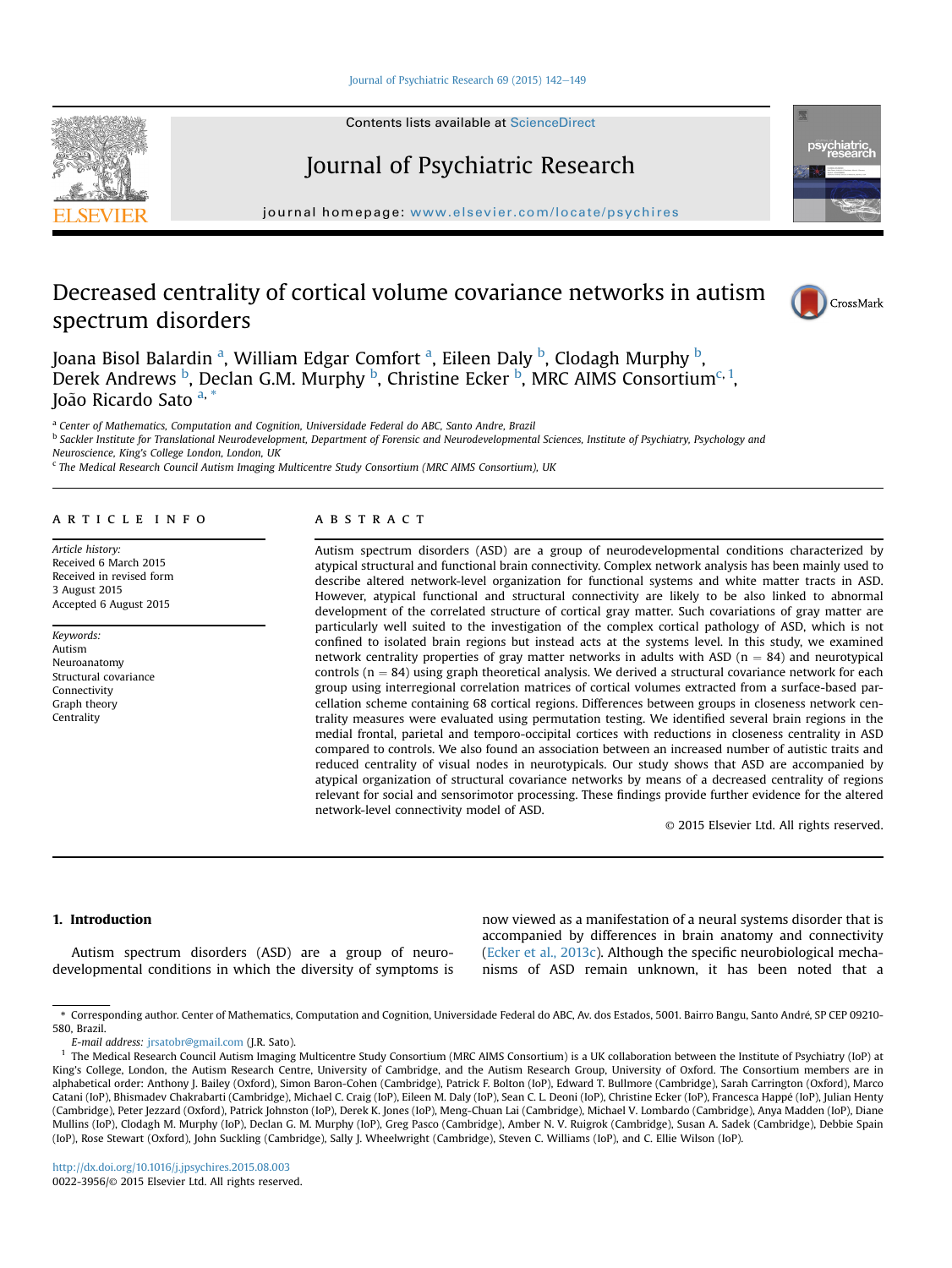#### Journal of Psychiatric Research  $69$  (2015) 142-[149](http://dx.doi.org/10.1016/j.jpsychires.2015.08.003)

Contents lists available at ScienceDirect

# Journal of Psychiatric Research

journal homepage: [www.elsevier.com/locate/psychires](http://www.elsevier.com/locate/psychires)

## Decreased centrality of cortical volume covariance networks in autism spectrum disorders



psychiatrio

Joana Bisol Balardin <sup>a</sup>, William Edgar Comfort <sup>a</sup>, Eileen Daly <sup>b</sup>, Clodagh Murphy <sup>b</sup>, Derek Andrews <sup>b</sup>, Declan G.M. Murphy <sup>b</sup>, Christine Ecker <sup>b</sup>, MRC AIMS Consortium<sup>c, 1</sup>, Ioão Ricardo Sato a, \*

<sup>a</sup> Center of Mathematics, Computation and Cognition, Universidade Federal do ABC, Santo Andre, Brazil

<sup>b</sup> Sackler Institute for Translational Neurodevelopment, Department of Forensic and Neurodevelopmental Sciences, Institute of Psychiatry, Psychology and

Neuroscience, King's College London, London, UK <sup>c</sup> The Medical Research Council Autism Imaging Multicentre Study Consortium (MRC AIMS Consortium), UK

#### article info

Article history: Received 6 March 2015 Received in revised form 3 August 2015 Accepted 6 August 2015

Keywords: Autism Neuroanatomy Structural covariance Connectivity Graph theory **Centrality** 

## ABSTRACT

Autism spectrum disorders (ASD) are a group of neurodevelopmental conditions characterized by atypical structural and functional brain connectivity. Complex network analysis has been mainly used to describe altered network-level organization for functional systems and white matter tracts in ASD. However, atypical functional and structural connectivity are likely to be also linked to abnormal development of the correlated structure of cortical gray matter. Such covariations of gray matter are particularly well suited to the investigation of the complex cortical pathology of ASD, which is not confined to isolated brain regions but instead acts at the systems level. In this study, we examined network centrality properties of gray matter networks in adults with ASD ( $n = 84$ ) and neurotypical controls ( $n = 84$ ) using graph theoretical analysis. We derived a structural covariance network for each group using interregional correlation matrices of cortical volumes extracted from a surface-based parcellation scheme containing 68 cortical regions. Differences between groups in closeness network centrality measures were evaluated using permutation testing. We identified several brain regions in the medial frontal, parietal and temporo-occipital cortices with reductions in closeness centrality in ASD compared to controls. We also found an association between an increased number of autistic traits and reduced centrality of visual nodes in neurotypicals. Our study shows that ASD are accompanied by atypical organization of structural covariance networks by means of a decreased centrality of regions relevant for social and sensorimotor processing. These findings provide further evidence for the altered network-level connectivity model of ASD.

© 2015 Elsevier Ltd. All rights reserved.

### 1. Introduction

Autism spectrum disorders (ASD) are a group of neurodevelopmental conditions in which the diversity of symptoms is now viewed as a manifestation of a neural systems disorder that is accompanied by differences in brain anatomy and connectivity ([Ecker et al., 2013c\)](#page-6-0). Although the specific neurobiological mechanisms of ASD remain unknown, it has been noted that a

E-mail address: [jrsatobr@gmail.com](mailto:jrsatobr@gmail.com) (J.R. Sato).

<sup>\*</sup> Corresponding author. Center of Mathematics, Computation and Cognition, Universidade Federal do ABC, Av. dos Estados, 5001. Bairro Bangu, Santo Andre, SP CEP 09210- - 580, Brazil.

<sup>&</sup>lt;sup>1</sup> The Medical Research Council Autism Imaging Multicentre Study Consortium (MRC AIMS Consortium) is a UK collaboration between the Institute of Psychiatry (IoP) at King's College, London, the Autism Research Centre, University of Cambridge, and the Autism Research Group, University of Oxford. The Consortium members are in alphabetical order: Anthony J. Bailey (Oxford), Simon Baron-Cohen (Cambridge), Patrick F. Bolton (IoP), Edward T. Bullmore (Cambridge), Sarah Carrington (Oxford), Marco Catani (IoP), Bhismadev Chakrabarti (Cambridge), Michael C. Craig (IoP), Eileen M. Daly (IoP), Sean C. L. Deoni (IoP), Christine Ecker (IoP), Francesca Happe (IoP), Julian Henty - (Cambridge), Peter Jezzard (Oxford), Patrick Johnston (IoP), Derek K. Jones (IoP), Meng-Chuan Lai (Cambridge), Michael V. Lombardo (Cambridge), Anya Madden (IoP), Diane Mullins (IoP), Clodagh M. Murphy (IoP), Declan G. M. Murphy (IoP), Greg Pasco (Cambridge), Amber N. V. Ruigrok (Cambridge), Susan A. Sadek (Cambridge), Debbie Spain (IoP), Rose Stewart (Oxford), John Suckling (Cambridge), Sally J. Wheelwright (Cambridge), Steven C. Williams (IoP), and C. Ellie Wilson (IoP).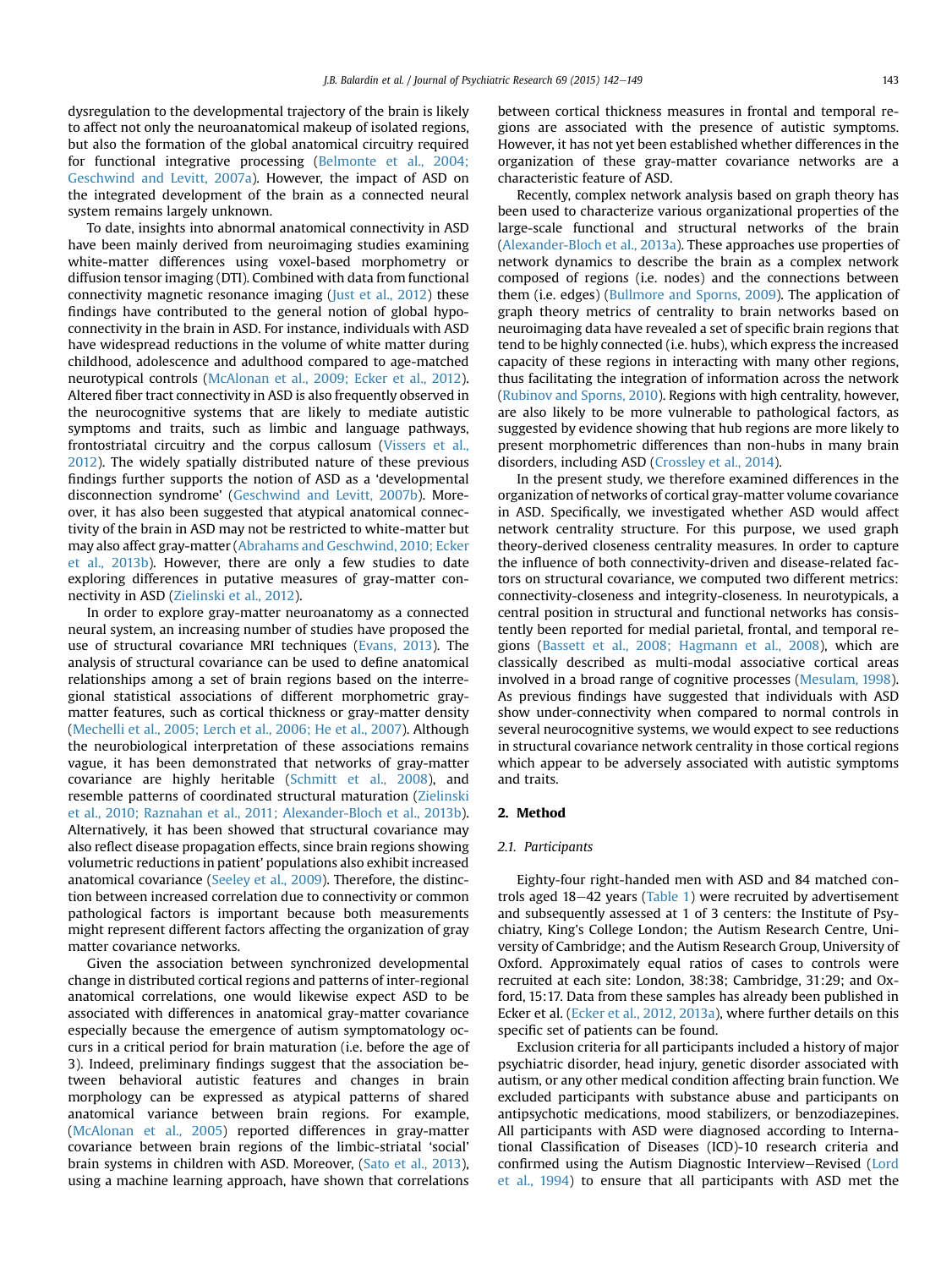dysregulation to the developmental trajectory of the brain is likely to affect not only the neuroanatomical makeup of isolated regions, but also the formation of the global anatomical circuitry required for functional integrative processing [\(Belmonte et al., 2004;](#page-6-0) [Geschwind and Levitt, 2007a\)](#page-6-0). However, the impact of ASD on the integrated development of the brain as a connected neural system remains largely unknown.

To date, insights into abnormal anatomical connectivity in ASD have been mainly derived from neuroimaging studies examining white-matter differences using voxel-based morphometry or diffusion tensor imaging (DTI). Combined with data from functional connectivity magnetic resonance imaging [\(Just et al., 2012](#page-6-0)) these findings have contributed to the general notion of global hypoconnectivity in the brain in ASD. For instance, individuals with ASD have widespread reductions in the volume of white matter during childhood, adolescence and adulthood compared to age-matched neurotypical controls [\(McAlonan et al., 2009; Ecker et al., 2012\)](#page-6-0). Altered fiber tract connectivity in ASD is also frequently observed in the neurocognitive systems that are likely to mediate autistic symptoms and traits, such as limbic and language pathways, frontostriatal circuitry and the corpus callosum [\(Vissers et al.,](#page-7-0) [2012\)](#page-7-0). The widely spatially distributed nature of these previous findings further supports the notion of ASD as a 'developmental disconnection syndrome' [\(Geschwind and Levitt, 2007b](#page-6-0)). Moreover, it has also been suggested that atypical anatomical connectivity of the brain in ASD may not be restricted to white-matter but may also affect gray-matter [\(Abrahams and Geschwind, 2010; Ecker](#page-6-0) [et al., 2013b\)](#page-6-0). However, there are only a few studies to date exploring differences in putative measures of gray-matter connectivity in ASD ([Zielinski et al., 2012](#page-7-0)).

In order to explore gray-matter neuroanatomy as a connected neural system, an increasing number of studies have proposed the use of structural covariance MRI techniques [\(Evans, 2013\)](#page-6-0). The analysis of structural covariance can be used to define anatomical relationships among a set of brain regions based on the interregional statistical associations of different morphometric graymatter features, such as cortical thickness or gray-matter density ([Mechelli et al., 2005; Lerch et al., 2006; He et al., 2007](#page-6-0)). Although the neurobiological interpretation of these associations remains vague, it has been demonstrated that networks of gray-matter covariance are highly heritable ([Schmitt et al., 2008\)](#page-7-0), and resemble patterns of coordinated structural maturation ([Zielinski](#page-7-0) [et al., 2010; Raznahan et al., 2011; Alexander-Bloch et al., 2013b\)](#page-7-0). Alternatively, it has been showed that structural covariance may also reflect disease propagation effects, since brain regions showing volumetric reductions in patient' populations also exhibit increased anatomical covariance ([Seeley et al., 2009](#page-7-0)). Therefore, the distinction between increased correlation due to connectivity or common pathological factors is important because both measurements might represent different factors affecting the organization of gray matter covariance networks.

Given the association between synchronized developmental change in distributed cortical regions and patterns of inter-regional anatomical correlations, one would likewise expect ASD to be associated with differences in anatomical gray-matter covariance especially because the emergence of autism symptomatology occurs in a critical period for brain maturation (i.e. before the age of 3). Indeed, preliminary findings suggest that the association between behavioral autistic features and changes in brain morphology can be expressed as atypical patterns of shared anatomical variance between brain regions. For example, ([McAlonan et al., 2005](#page-6-0)) reported differences in gray-matter covariance between brain regions of the limbic-striatal 'social' brain systems in children with ASD. Moreover, ([Sato et al., 2013\)](#page-7-0), using a machine learning approach, have shown that correlations

between cortical thickness measures in frontal and temporal regions are associated with the presence of autistic symptoms. However, it has not yet been established whether differences in the organization of these gray-matter covariance networks are a characteristic feature of ASD.

Recently, complex network analysis based on graph theory has been used to characterize various organizational properties of the large-scale functional and structural networks of the brain ([Alexander-Bloch et al., 2013a](#page-6-0)). These approaches use properties of network dynamics to describe the brain as a complex network composed of regions (i.e. nodes) and the connections between them (i.e. edges) [\(Bullmore and Sporns, 2009\)](#page-6-0). The application of graph theory metrics of centrality to brain networks based on neuroimaging data have revealed a set of specific brain regions that tend to be highly connected (i.e. hubs), which express the increased capacity of these regions in interacting with many other regions, thus facilitating the integration of information across the network ([Rubinov and Sporns, 2010\)](#page-7-0). Regions with high centrality, however, are also likely to be more vulnerable to pathological factors, as suggested by evidence showing that hub regions are more likely to present morphometric differences than non-hubs in many brain disorders, including ASD [\(Crossley et al., 2014](#page-6-0)).

In the present study, we therefore examined differences in the organization of networks of cortical gray-matter volume covariance in ASD. Specifically, we investigated whether ASD would affect network centrality structure. For this purpose, we used graph theory-derived closeness centrality measures. In order to capture the influence of both connectivity-driven and disease-related factors on structural covariance, we computed two different metrics: connectivity-closeness and integrity-closeness. In neurotypicals, a central position in structural and functional networks has consistently been reported for medial parietal, frontal, and temporal regions [\(Bassett et al., 2008; Hagmann et al., 2008\)](#page-6-0), which are classically described as multi-modal associative cortical areas involved in a broad range of cognitive processes ([Mesulam, 1998\)](#page-6-0). As previous findings have suggested that individuals with ASD show under-connectivity when compared to normal controls in several neurocognitive systems, we would expect to see reductions in structural covariance network centrality in those cortical regions which appear to be adversely associated with autistic symptoms and traits.

#### 2. Method

#### 2.1. Participants

Eighty-four right-handed men with ASD and 84 matched con-trols aged 18-42 years ([Table 1](#page-2-0)) were recruited by advertisement and subsequently assessed at 1 of 3 centers: the Institute of Psychiatry, King's College London; the Autism Research Centre, University of Cambridge; and the Autism Research Group, University of Oxford. Approximately equal ratios of cases to controls were recruited at each site: London, 38:38; Cambridge, 31:29; and Oxford, 15:17. Data from these samples has already been published in Ecker et al. ([Ecker et al., 2012, 2013a](#page-6-0)), where further details on this specific set of patients can be found.

Exclusion criteria for all participants included a history of major psychiatric disorder, head injury, genetic disorder associated with autism, or any other medical condition affecting brain function. We excluded participants with substance abuse and participants on antipsychotic medications, mood stabilizers, or benzodiazepines. All participants with ASD were diagnosed according to International Classification of Diseases (ICD)-10 research criteria and confirmed using the Autism Diagnostic Interview-Revised ([Lord](#page-6-0) [et al., 1994](#page-6-0)) to ensure that all participants with ASD met the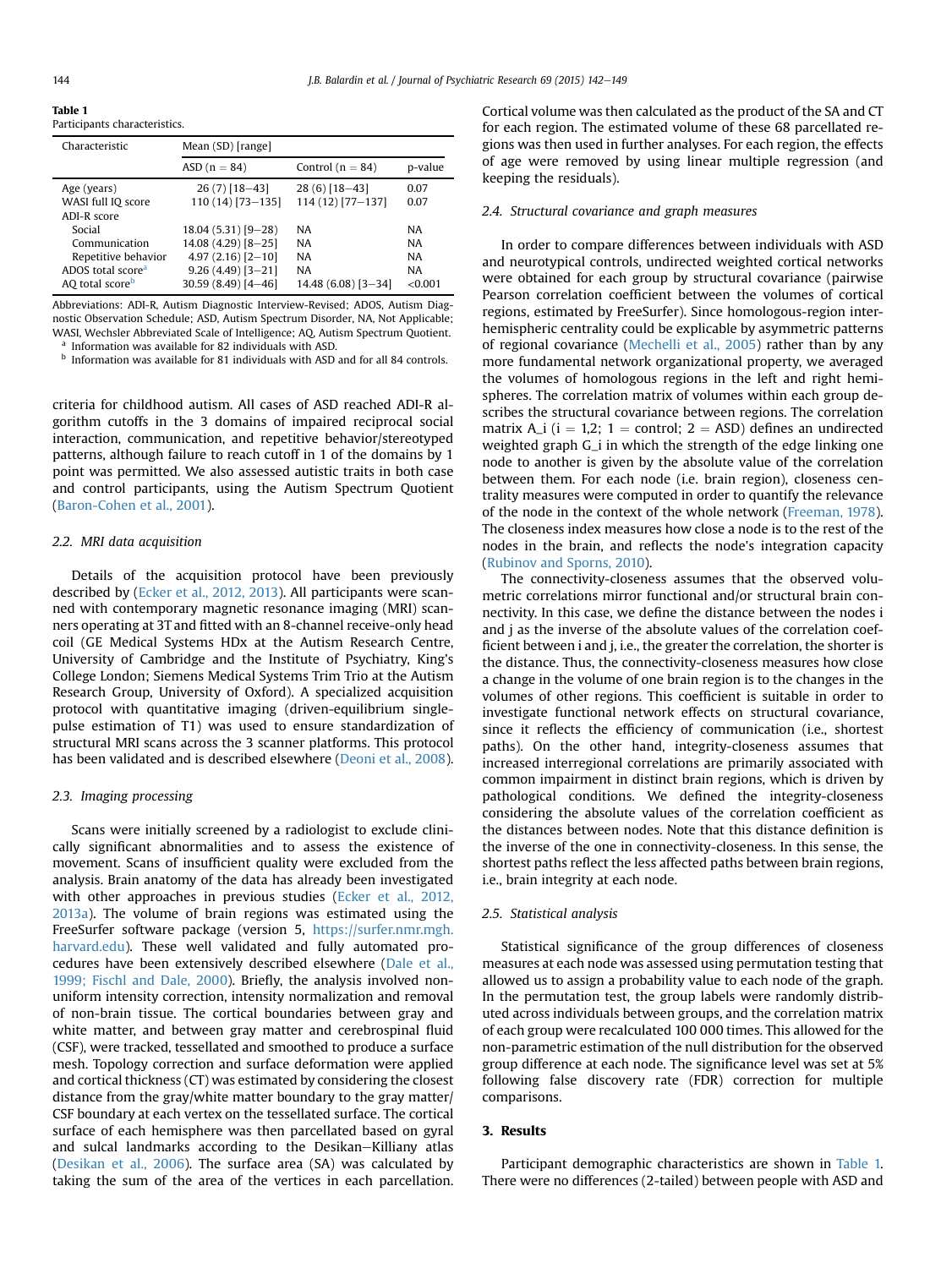<span id="page-2-0"></span>Table 1 Participants characteristics.

| Characteristic                | Mean (SD) [range]     |                      |           |  |  |  |  |
|-------------------------------|-----------------------|----------------------|-----------|--|--|--|--|
|                               | $ASD(n = 84)$         | Control ( $n = 84$ ) | p-value   |  |  |  |  |
| Age (years)                   | $26(7)$ [18-43]       | $28(6)$ [18-43]      | 0.07      |  |  |  |  |
| WASI full IQ score            | 110 (14) [73-135]     | 114 (12) [77-137]    | 0.07      |  |  |  |  |
| ADI-R score                   |                       |                      |           |  |  |  |  |
| Social                        | $18.04(5.31)[9-28]$   | <b>NA</b>            | <b>NA</b> |  |  |  |  |
| Communication                 | 14.08 (4.29) [8-25]   | <b>NA</b>            | <b>NA</b> |  |  |  |  |
| Repetitive behavior           | $4.97(2.16)[2 - 10]$  | <b>NA</b>            | <b>NA</b> |  |  |  |  |
| ADOS total score <sup>a</sup> | $9.26(4.49)[3 - 21]$  | <b>NA</b>            | <b>NA</b> |  |  |  |  |
| AO total score <sup>b</sup>   | $30.59(8.49)[4 - 46]$ | $14.48(6.08)[3-34]$  | < 0.001   |  |  |  |  |

Abbreviations: ADI-R, Autism Diagnostic Interview-Revised; ADOS, Autism Diagnostic Observation Schedule; ASD, Autism Spectrum Disorder, NA, Not Applicable; WASI, Wechsler Abbreviated Scale of Intelligence; AQ, Autism Spectrum Quotient. Information was available for 82 individuals with ASD.

 $<sup>b</sup>$  Information was available for 81 individuals with ASD and for all 84 controls.</sup>

criteria for childhood autism. All cases of ASD reached ADI-R algorithm cutoffs in the 3 domains of impaired reciprocal social interaction, communication, and repetitive behavior/stereotyped patterns, although failure to reach cutoff in 1 of the domains by 1 point was permitted. We also assessed autistic traits in both case and control participants, using the Autism Spectrum Quotient ([Baron-Cohen et al., 2001](#page-6-0)).

#### 2.2. MRI data acquisition

Details of the acquisition protocol have been previously described by ([Ecker et al., 2012, 2013](#page-6-0)). All participants were scanned with contemporary magnetic resonance imaging (MRI) scanners operating at 3T and fitted with an 8-channel receive-only head coil (GE Medical Systems HDx at the Autism Research Centre, University of Cambridge and the Institute of Psychiatry, King's College London; Siemens Medical Systems Trim Trio at the Autism Research Group, University of Oxford). A specialized acquisition protocol with quantitative imaging (driven-equilibrium singlepulse estimation of T1) was used to ensure standardization of structural MRI scans across the 3 scanner platforms. This protocol has been validated and is described elsewhere ([Deoni et al., 2008\)](#page-6-0).

#### 2.3. Imaging processing

Scans were initially screened by a radiologist to exclude clinically significant abnormalities and to assess the existence of movement. Scans of insufficient quality were excluded from the analysis. Brain anatomy of the data has already been investigated with other approaches in previous studies [\(Ecker et al., 2012,](#page-6-0) [2013a](#page-6-0)). The volume of brain regions was estimated using the FreeSurfer software package (version 5, [https://surfer.nmr.mgh.](https://surfer.nmr.mgh.harvard.edu) [harvard.edu](https://surfer.nmr.mgh.harvard.edu)). These well validated and fully automated procedures have been extensively described elsewhere ([Dale et al.,](#page-6-0) [1999; Fischl and Dale, 2000](#page-6-0)). Briefly, the analysis involved nonuniform intensity correction, intensity normalization and removal of non-brain tissue. The cortical boundaries between gray and white matter, and between gray matter and cerebrospinal fluid (CSF), were tracked, tessellated and smoothed to produce a surface mesh. Topology correction and surface deformation were applied and cortical thickness (CT) was estimated by considering the closest distance from the gray/white matter boundary to the gray matter/ CSF boundary at each vertex on the tessellated surface. The cortical surface of each hemisphere was then parcellated based on gyral and sulcal landmarks according to the Desikan-Killiany atlas ([Desikan et al., 2006](#page-6-0)). The surface area (SA) was calculated by taking the sum of the area of the vertices in each parcellation. Cortical volume was then calculated as the product of the SA and CT for each region. The estimated volume of these 68 parcellated regions was then used in further analyses. For each region, the effects of age were removed by using linear multiple regression (and keeping the residuals).

### 2.4. Structural covariance and graph measures

In order to compare differences between individuals with ASD and neurotypical controls, undirected weighted cortical networks were obtained for each group by structural covariance (pairwise Pearson correlation coefficient between the volumes of cortical regions, estimated by FreeSurfer). Since homologous-region interhemispheric centrality could be explicable by asymmetric patterns of regional covariance [\(Mechelli et al., 2005](#page-6-0)) rather than by any more fundamental network organizational property, we averaged the volumes of homologous regions in the left and right hemispheres. The correlation matrix of volumes within each group describes the structural covariance between regions. The correlation matrix A\_i (i = 1,2; 1 = control; 2 = ASD) defines an undirected weighted graph G\_i in which the strength of the edge linking one node to another is given by the absolute value of the correlation between them. For each node (i.e. brain region), closeness centrality measures were computed in order to quantify the relevance of the node in the context of the whole network [\(Freeman, 1978\)](#page-6-0). The closeness index measures how close a node is to the rest of the nodes in the brain, and reflects the node's integration capacity ([Rubinov and Sporns, 2010](#page-7-0)).

The connectivity-closeness assumes that the observed volumetric correlations mirror functional and/or structural brain connectivity. In this case, we define the distance between the nodes i and j as the inverse of the absolute values of the correlation coefficient between i and j, i.e., the greater the correlation, the shorter is the distance. Thus, the connectivity-closeness measures how close a change in the volume of one brain region is to the changes in the volumes of other regions. This coefficient is suitable in order to investigate functional network effects on structural covariance, since it reflects the efficiency of communication (i.e., shortest paths). On the other hand, integrity-closeness assumes that increased interregional correlations are primarily associated with common impairment in distinct brain regions, which is driven by pathological conditions. We defined the integrity-closeness considering the absolute values of the correlation coefficient as the distances between nodes. Note that this distance definition is the inverse of the one in connectivity-closeness. In this sense, the shortest paths reflect the less affected paths between brain regions, i.e., brain integrity at each node.

#### 2.5. Statistical analysis

Statistical significance of the group differences of closeness measures at each node was assessed using permutation testing that allowed us to assign a probability value to each node of the graph. In the permutation test, the group labels were randomly distributed across individuals between groups, and the correlation matrix of each group were recalculated 100 000 times. This allowed for the non-parametric estimation of the null distribution for the observed group difference at each node. The significance level was set at 5% following false discovery rate (FDR) correction for multiple comparisons.

## 3. Results

Participant demographic characteristics are shown in Table 1. There were no differences (2-tailed) between people with ASD and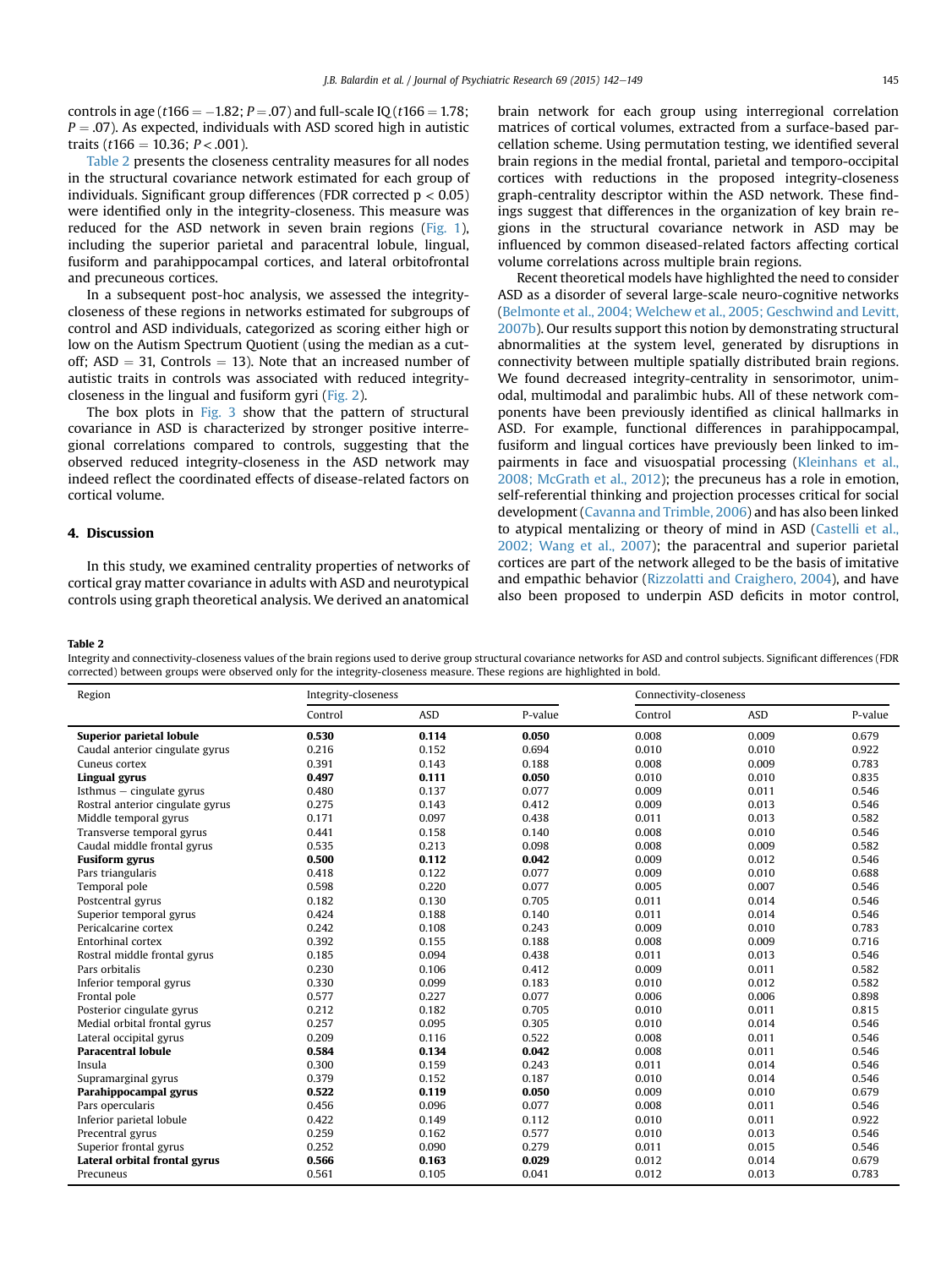controls in age ( $t166 = -1.82$ ;  $P = .07$ ) and full-scale IQ ( $t166 = 1.78$ ;  $P = .07$ ). As expected, individuals with ASD scored high in autistic traits ( $t166 = 10.36$ ;  $P < .001$ ).

Table 2 presents the closeness centrality measures for all nodes in the structural covariance network estimated for each group of individuals. Significant group differences (FDR corrected  $p < 0.05$ ) were identified only in the integrity-closeness. This measure was reduced for the ASD network in seven brain regions ([Fig. 1\)](#page-4-0), including the superior parietal and paracentral lobule, lingual, fusiform and parahippocampal cortices, and lateral orbitofrontal and precuneous cortices.

In a subsequent post-hoc analysis, we assessed the integritycloseness of these regions in networks estimated for subgroups of control and ASD individuals, categorized as scoring either high or low on the Autism Spectrum Quotient (using the median as a cutoff;  $ASD = 31$ , Controls = 13). Note that an increased number of autistic traits in controls was associated with reduced integritycloseness in the lingual and fusiform gyri ([Fig. 2\)](#page-4-0).

The box plots in [Fig. 3](#page-4-0) show that the pattern of structural covariance in ASD is characterized by stronger positive interregional correlations compared to controls, suggesting that the observed reduced integrity-closeness in the ASD network may indeed reflect the coordinated effects of disease-related factors on cortical volume.

## 4. Discussion

In this study, we examined centrality properties of networks of cortical gray matter covariance in adults with ASD and neurotypical controls using graph theoretical analysis. We derived an anatomical

brain network for each group using interregional correlation matrices of cortical volumes, extracted from a surface-based parcellation scheme. Using permutation testing, we identified several brain regions in the medial frontal, parietal and temporo-occipital cortices with reductions in the proposed integrity-closeness graph-centrality descriptor within the ASD network. These findings suggest that differences in the organization of key brain regions in the structural covariance network in ASD may be influenced by common diseased-related factors affecting cortical volume correlations across multiple brain regions.

Recent theoretical models have highlighted the need to consider ASD as a disorder of several large-scale neuro-cognitive networks ([Belmonte et al., 2004; Welchew et al., 2005; Geschwind and Levitt,](#page-6-0) [2007b](#page-6-0)). Our results support this notion by demonstrating structural abnormalities at the system level, generated by disruptions in connectivity between multiple spatially distributed brain regions. We found decreased integrity-centrality in sensorimotor, unimodal, multimodal and paralimbic hubs. All of these network components have been previously identified as clinical hallmarks in ASD. For example, functional differences in parahippocampal, fusiform and lingual cortices have previously been linked to impairments in face and visuospatial processing [\(Kleinhans et al.,](#page-6-0) [2008; McGrath et al., 2012\)](#page-6-0); the precuneus has a role in emotion, self-referential thinking and projection processes critical for social development [\(Cavanna and Trimble, 2006](#page-6-0)) and has also been linked to atypical mentalizing or theory of mind in ASD ([Castelli et al.,](#page-6-0) [2002; Wang et al., 2007\)](#page-6-0); the paracentral and superior parietal cortices are part of the network alleged to be the basis of imitative and empathic behavior [\(Rizzolatti and Craighero, 2004](#page-7-0)), and have also been proposed to underpin ASD deficits in motor control,

#### Table 2

Integrity and connectivity-closeness values of the brain regions used to derive group structural covariance networks for ASD and control subjects. Significant differences (FDR corrected) between groups were observed only for the integrity-closeness measure. These regions are highlighted in bold.

| Region                           | Integrity-closeness |            |         | Connectivity-closeness |            |         |
|----------------------------------|---------------------|------------|---------|------------------------|------------|---------|
|                                  | Control             | <b>ASD</b> | P-value | Control                | <b>ASD</b> | P-value |
| <b>Superior parietal lobule</b>  | 0.530               | 0.114      | 0.050   | 0.008                  | 0.009      | 0.679   |
| Caudal anterior cingulate gyrus  | 0.216               | 0.152      | 0.694   | 0.010                  | 0.010      | 0.922   |
| Cuneus cortex                    | 0.391               | 0.143      | 0.188   | 0.008                  | 0.009      | 0.783   |
| Lingual gyrus                    | 0.497               | 0.111      | 0.050   | 0.010                  | 0.010      | 0.835   |
| Isthmus $-$ cingulate gyrus      | 0.480               | 0.137      | 0.077   | 0.009                  | 0.011      | 0.546   |
| Rostral anterior cingulate gyrus | 0.275               | 0.143      | 0.412   | 0.009                  | 0.013      | 0.546   |
| Middle temporal gyrus            | 0.171               | 0.097      | 0.438   | 0.011                  | 0.013      | 0.582   |
| Transverse temporal gyrus        | 0.441               | 0.158      | 0.140   | 0.008                  | 0.010      | 0.546   |
| Caudal middle frontal gyrus      | 0.535               | 0.213      | 0.098   | 0.008                  | 0.009      | 0.582   |
| <b>Fusiform gyrus</b>            | 0.500               | 0.112      | 0.042   | 0.009                  | 0.012      | 0.546   |
| Pars triangularis                | 0.418               | 0.122      | 0.077   | 0.009                  | 0.010      | 0.688   |
| Temporal pole                    | 0.598               | 0.220      | 0.077   | 0.005                  | 0.007      | 0.546   |
| Postcentral gyrus                | 0.182               | 0.130      | 0.705   | 0.011                  | 0.014      | 0.546   |
| Superior temporal gyrus          | 0.424               | 0.188      | 0.140   | 0.011                  | 0.014      | 0.546   |
| Pericalcarine cortex             | 0.242               | 0.108      | 0.243   | 0.009                  | 0.010      | 0.783   |
| Entorhinal cortex                | 0.392               | 0.155      | 0.188   | 0.008                  | 0.009      | 0.716   |
| Rostral middle frontal gyrus     | 0.185               | 0.094      | 0.438   | 0.011                  | 0.013      | 0.546   |
| Pars orbitalis                   | 0.230               | 0.106      | 0.412   | 0.009                  | 0.011      | 0.582   |
| Inferior temporal gyrus          | 0.330               | 0.099      | 0.183   | 0.010                  | 0.012      | 0.582   |
| Frontal pole                     | 0.577               | 0.227      | 0.077   | 0.006                  | 0.006      | 0.898   |
| Posterior cingulate gyrus        | 0.212               | 0.182      | 0.705   | 0.010                  | 0.011      | 0.815   |
| Medial orbital frontal gyrus     | 0.257               | 0.095      | 0.305   | 0.010                  | 0.014      | 0.546   |
| Lateral occipital gyrus          | 0.209               | 0.116      | 0.522   | 0.008                  | 0.011      | 0.546   |
| <b>Paracentral lobule</b>        | 0.584               | 0.134      | 0.042   | 0.008                  | 0.011      | 0.546   |
| Insula                           | 0.300               | 0.159      | 0.243   | 0.011                  | 0.014      | 0.546   |
| Supramarginal gyrus              | 0.379               | 0.152      | 0.187   | 0.010                  | 0.014      | 0.546   |
| Parahippocampal gyrus            | 0.522               | 0.119      | 0.050   | 0.009                  | 0.010      | 0.679   |
| Pars opercularis                 | 0.456               | 0.096      | 0.077   | 0.008                  | 0.011      | 0.546   |
| Inferior parietal lobule         | 0.422               | 0.149      | 0.112   | 0.010                  | 0.011      | 0.922   |
| Precentral gyrus                 | 0.259               | 0.162      | 0.577   | 0.010                  | 0.013      | 0.546   |
| Superior frontal gyrus           | 0.252               | 0.090      | 0.279   | 0.011                  | 0.015      | 0.546   |
| Lateral orbital frontal gyrus    | 0.566               | 0.163      | 0.029   | 0.012                  | 0.014      | 0.679   |
| Precuneus                        | 0.561               | 0.105      | 0.041   | 0.012                  | 0.013      | 0.783   |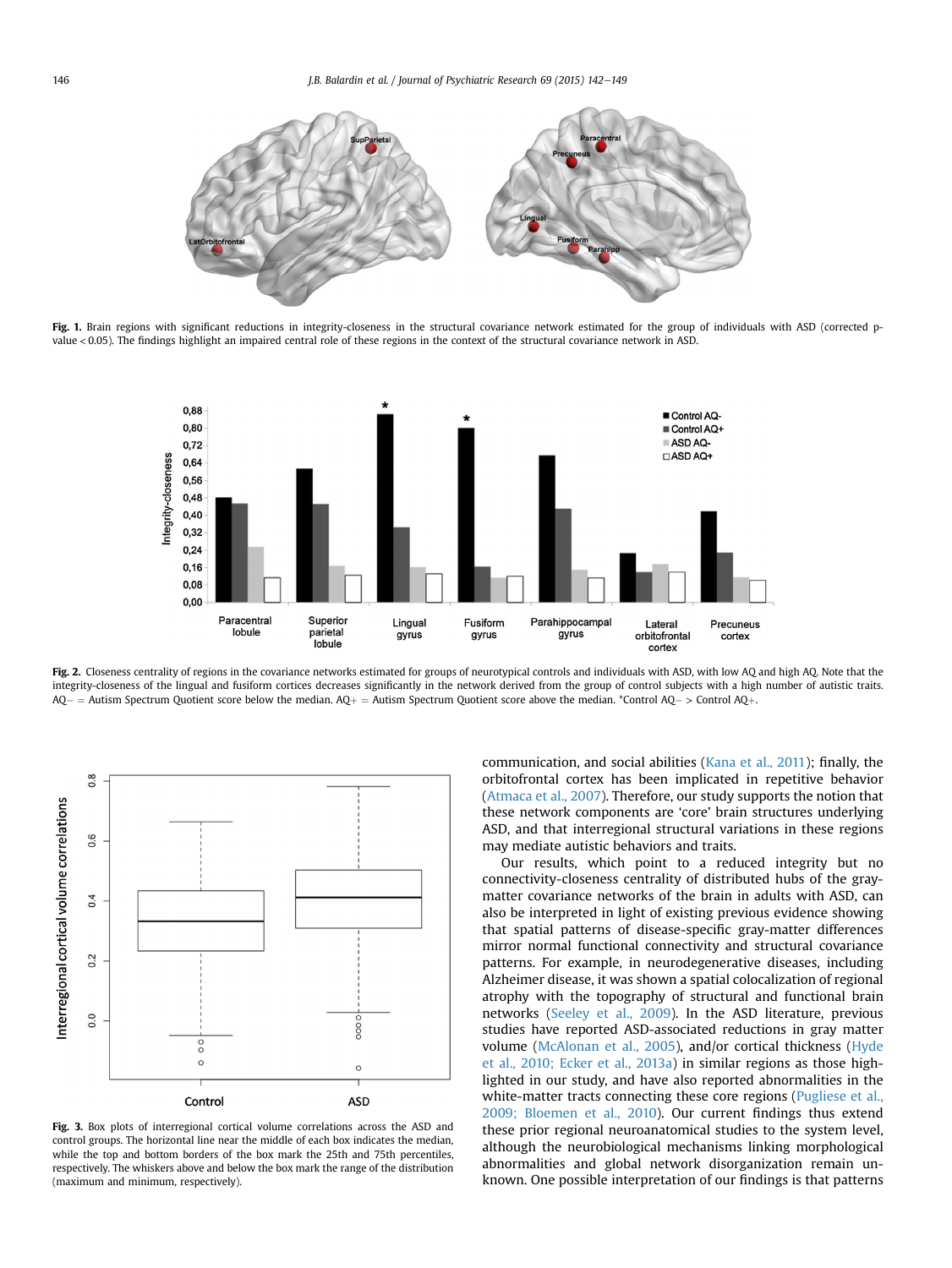<span id="page-4-0"></span>

Fig. 1. Brain regions with significant reductions in integrity-closeness in the structural covariance network estimated for the group of individuals with ASD (corrected pvalue < 0.05). The findings highlight an impaired central role of these regions in the context of the structural covariance network in ASD.



Fig. 2. Closeness centrality of regions in the covariance networks estimated for groups of neurotypical controls and individuals with ASD, with low AQ and high AQ. Note that the integrity-closeness of the lingual and fusiform cortices decreases significantly in the network derived from the group of control subjects with a high number of autistic traits.  $\mathsf{AQ} =$  Autism Spectrum Quotient score below the median.  $\mathsf{AQ}+$   $=$  Autism Spectrum Quotient score above the median. \*Control  $\mathsf{AQ} >$  Control  $\mathsf{AQ}+$ 



Fig. 3. Box plots of interregional cortical volume correlations across the ASD and control groups. The horizontal line near the middle of each box indicates the median, while the top and bottom borders of the box mark the 25th and 75th percentiles, respectively. The whiskers above and below the box mark the range of the distribution (maximum and minimum, respectively).

communication, and social abilities ([Kana et al., 2011](#page-6-0)); finally, the orbitofrontal cortex has been implicated in repetitive behavior ([Atmaca et al., 2007](#page-6-0)). Therefore, our study supports the notion that these network components are 'core' brain structures underlying ASD, and that interregional structural variations in these regions may mediate autistic behaviors and traits.

Our results, which point to a reduced integrity but no connectivity-closeness centrality of distributed hubs of the graymatter covariance networks of the brain in adults with ASD, can also be interpreted in light of existing previous evidence showing that spatial patterns of disease-specific gray-matter differences mirror normal functional connectivity and structural covariance patterns. For example, in neurodegenerative diseases, including Alzheimer disease, it was shown a spatial colocalization of regional atrophy with the topography of structural and functional brain networks ([Seeley et al., 2009\)](#page-7-0). In the ASD literature, previous studies have reported ASD-associated reductions in gray matter volume ([McAlonan et al., 2005\)](#page-6-0), and/or cortical thickness [\(Hyde](#page-6-0) [et al., 2010; Ecker et al., 2013a\)](#page-6-0) in similar regions as those highlighted in our study, and have also reported abnormalities in the white-matter tracts connecting these core regions ([Pugliese et al.,](#page-7-0) [2009; Bloemen et al., 2010\)](#page-7-0). Our current findings thus extend these prior regional neuroanatomical studies to the system level, although the neurobiological mechanisms linking morphological abnormalities and global network disorganization remain unknown. One possible interpretation of our findings is that patterns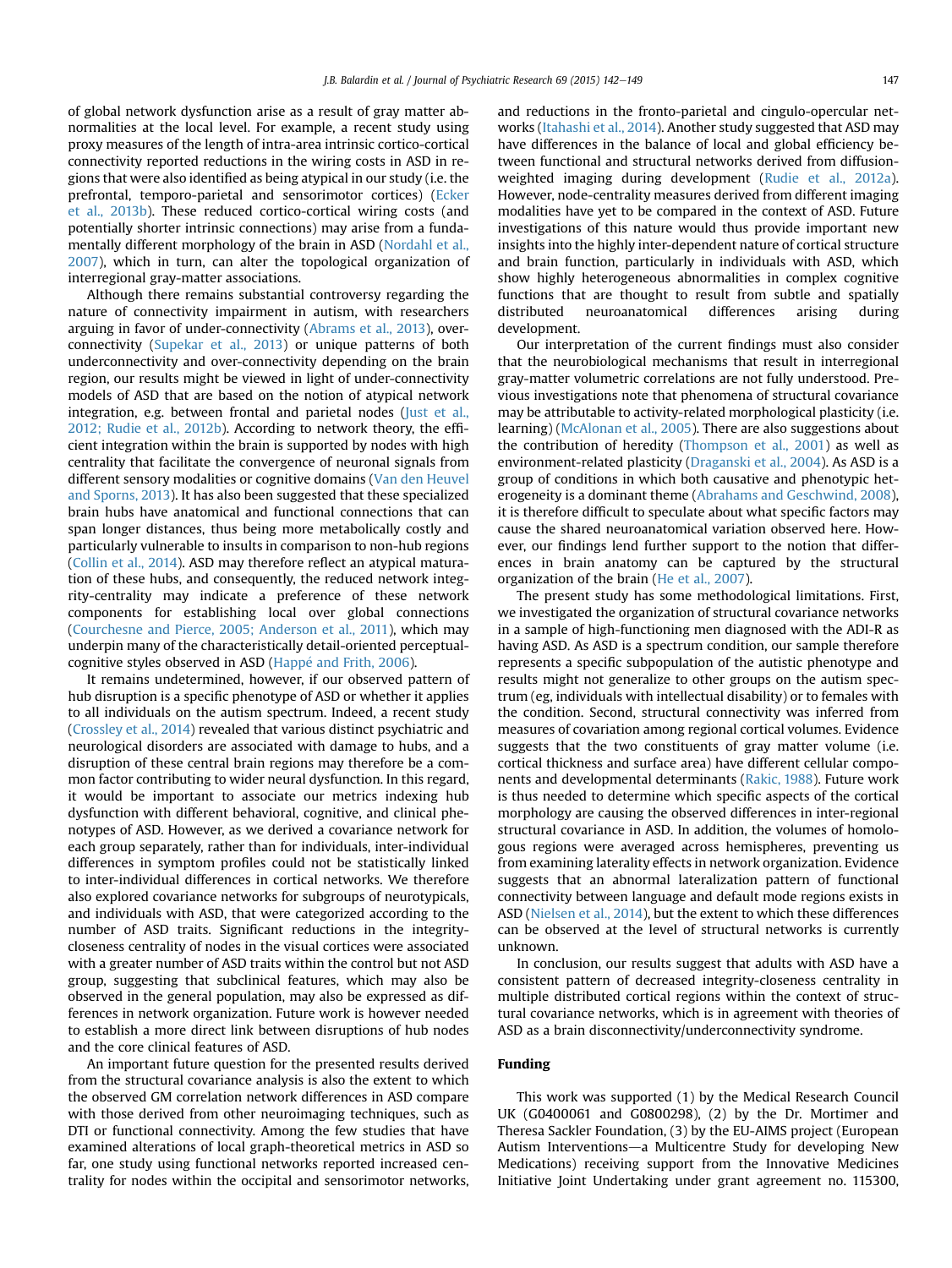of global network dysfunction arise as a result of gray matter abnormalities at the local level. For example, a recent study using proxy measures of the length of intra-area intrinsic cortico-cortical connectivity reported reductions in the wiring costs in ASD in regions that were also identified as being atypical in our study (i.e. the prefrontal, temporo-parietal and sensorimotor cortices) ([Ecker](#page-6-0) [et al., 2013b](#page-6-0)). These reduced cortico-cortical wiring costs (and potentially shorter intrinsic connections) may arise from a fundamentally different morphology of the brain in ASD [\(Nordahl et al.,](#page-7-0) [2007\)](#page-7-0), which in turn, can alter the topological organization of interregional gray-matter associations.

Although there remains substantial controversy regarding the nature of connectivity impairment in autism, with researchers arguing in favor of under-connectivity ([Abrams et al., 2013](#page-6-0)), overconnectivity ([Supekar et al., 2013](#page-7-0)) or unique patterns of both underconnectivity and over-connectivity depending on the brain region, our results might be viewed in light of under-connectivity models of ASD that are based on the notion of atypical network integration, e.g. between frontal and parietal nodes ([Just et al.,](#page-6-0) [2012; Rudie et al., 2012b\)](#page-6-0). According to network theory, the efficient integration within the brain is supported by nodes with high centrality that facilitate the convergence of neuronal signals from different sensory modalities or cognitive domains [\(Van den Heuvel](#page-6-0) [and Sporns, 2013\)](#page-6-0). It has also been suggested that these specialized brain hubs have anatomical and functional connections that can span longer distances, thus being more metabolically costly and particularly vulnerable to insults in comparison to non-hub regions ([Collin et al., 2014\)](#page-6-0). ASD may therefore reflect an atypical maturation of these hubs, and consequently, the reduced network integrity-centrality may indicate a preference of these network components for establishing local over global connections ([Courchesne and Pierce, 2005; Anderson et al., 2011](#page-6-0)), which may underpin many of the characteristically detail-oriented perceptual-cognitive styles observed in ASD [\(Happ](#page-6-0)é [and Frith, 2006](#page-6-0)).

It remains undetermined, however, if our observed pattern of hub disruption is a specific phenotype of ASD or whether it applies to all individuals on the autism spectrum. Indeed, a recent study ([Crossley et al., 2014](#page-6-0)) revealed that various distinct psychiatric and neurological disorders are associated with damage to hubs, and a disruption of these central brain regions may therefore be a common factor contributing to wider neural dysfunction. In this regard, it would be important to associate our metrics indexing hub dysfunction with different behavioral, cognitive, and clinical phenotypes of ASD. However, as we derived a covariance network for each group separately, rather than for individuals, inter-individual differences in symptom profiles could not be statistically linked to inter-individual differences in cortical networks. We therefore also explored covariance networks for subgroups of neurotypicals, and individuals with ASD, that were categorized according to the number of ASD traits. Significant reductions in the integritycloseness centrality of nodes in the visual cortices were associated with a greater number of ASD traits within the control but not ASD group, suggesting that subclinical features, which may also be observed in the general population, may also be expressed as differences in network organization. Future work is however needed to establish a more direct link between disruptions of hub nodes and the core clinical features of ASD.

An important future question for the presented results derived from the structural covariance analysis is also the extent to which the observed GM correlation network differences in ASD compare with those derived from other neuroimaging techniques, such as DTI or functional connectivity. Among the few studies that have examined alterations of local graph-theoretical metrics in ASD so far, one study using functional networks reported increased centrality for nodes within the occipital and sensorimotor networks, and reductions in the fronto-parietal and cingulo-opercular networks [\(Itahashi et al., 2014\)](#page-6-0). Another study suggested that ASD may have differences in the balance of local and global efficiency between functional and structural networks derived from diffusionweighted imaging during development [\(Rudie et al., 2012a\)](#page-7-0). However, node-centrality measures derived from different imaging modalities have yet to be compared in the context of ASD. Future investigations of this nature would thus provide important new insights into the highly inter-dependent nature of cortical structure and brain function, particularly in individuals with ASD, which show highly heterogeneous abnormalities in complex cognitive functions that are thought to result from subtle and spatially distributed neuroanatomical differences arising during development.

Our interpretation of the current findings must also consider that the neurobiological mechanisms that result in interregional gray-matter volumetric correlations are not fully understood. Previous investigations note that phenomena of structural covariance may be attributable to activity-related morphological plasticity (i.e. learning) ([McAlonan et al., 2005\)](#page-6-0). There are also suggestions about the contribution of heredity [\(Thompson et al., 2001](#page-7-0)) as well as environment-related plasticity [\(Draganski et al., 2004\)](#page-6-0). As ASD is a group of conditions in which both causative and phenotypic heterogeneity is a dominant theme [\(Abrahams and Geschwind, 2008\)](#page-6-0), it is therefore difficult to speculate about what specific factors may cause the shared neuroanatomical variation observed here. However, our findings lend further support to the notion that differences in brain anatomy can be captured by the structural organization of the brain [\(He et al., 2007](#page-6-0)).

The present study has some methodological limitations. First, we investigated the organization of structural covariance networks in a sample of high-functioning men diagnosed with the ADI-R as having ASD. As ASD is a spectrum condition, our sample therefore represents a specific subpopulation of the autistic phenotype and results might not generalize to other groups on the autism spectrum (eg, individuals with intellectual disability) or to females with the condition. Second, structural connectivity was inferred from measures of covariation among regional cortical volumes. Evidence suggests that the two constituents of gray matter volume (i.e. cortical thickness and surface area) have different cellular components and developmental determinants ([Rakic, 1988\)](#page-7-0). Future work is thus needed to determine which specific aspects of the cortical morphology are causing the observed differences in inter-regional structural covariance in ASD. In addition, the volumes of homologous regions were averaged across hemispheres, preventing us from examining laterality effects in network organization. Evidence suggests that an abnormal lateralization pattern of functional connectivity between language and default mode regions exists in ASD [\(Nielsen et al., 2014](#page-7-0)), but the extent to which these differences can be observed at the level of structural networks is currently unknown.

In conclusion, our results suggest that adults with ASD have a consistent pattern of decreased integrity-closeness centrality in multiple distributed cortical regions within the context of structural covariance networks, which is in agreement with theories of ASD as a brain disconnectivity/underconnectivity syndrome.

### Funding

This work was supported (1) by the Medical Research Council UK (G0400061 and G0800298), (2) by the Dr. Mortimer and Theresa Sackler Foundation, (3) by the EU-AIMS project (European Autism Interventions—a Multicentre Study for developing New Medications) receiving support from the Innovative Medicines Initiative Joint Undertaking under grant agreement no. 115300,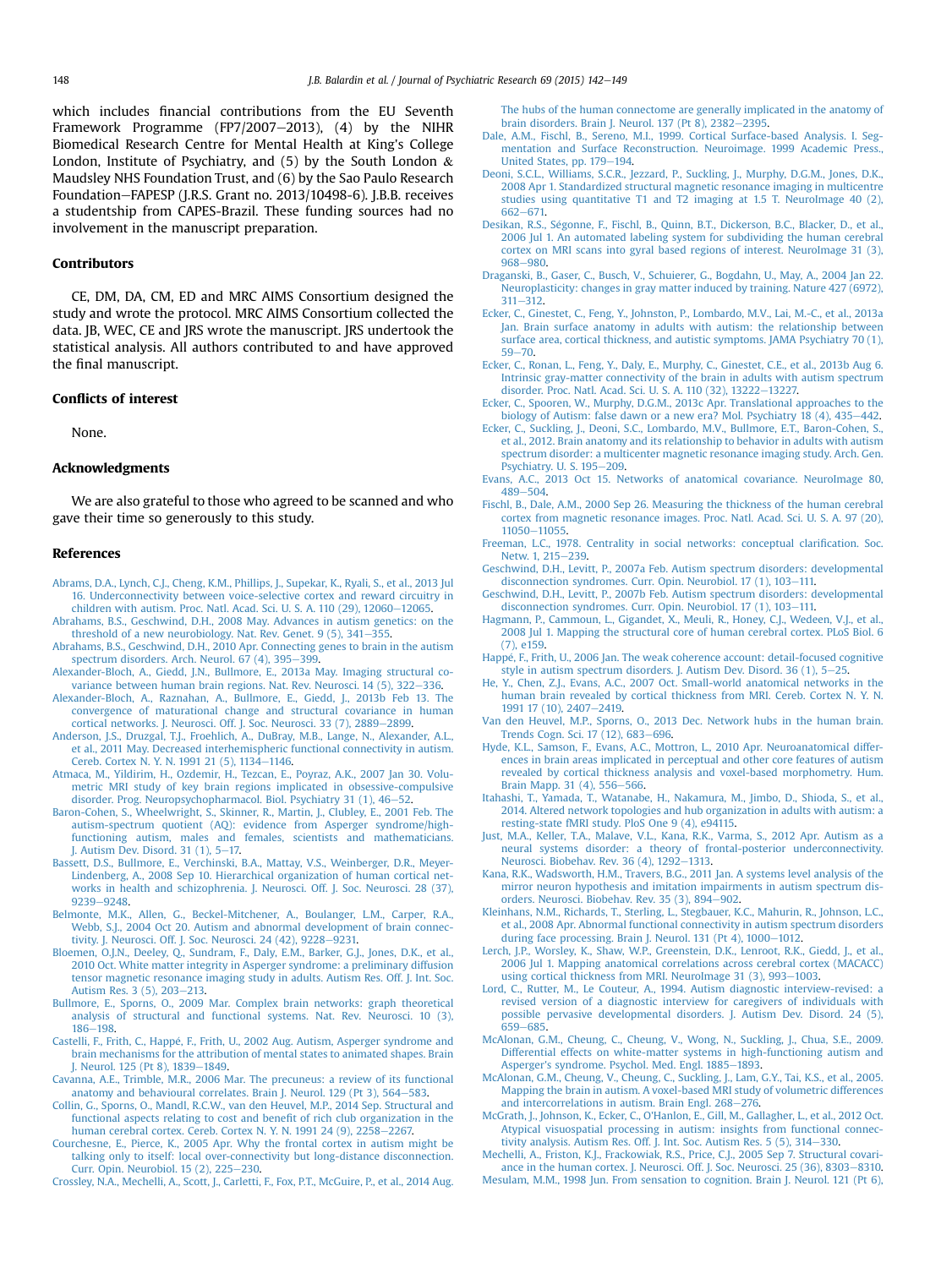<span id="page-6-0"></span>which includes financial contributions from the EU Seventh Framework Programme (FP7/2007-2013),  $(4)$  by the NIHR Biomedical Research Centre for Mental Health at King's College London, Institute of Psychiatry, and  $(5)$  by the South London  $\&$ Maudsley NHS Foundation Trust, and (6) by the Sao Paulo Research Foundation-FAPESP (J.R.S. Grant no. 2013/10498-6). J.B.B. receives a studentship from CAPES-Brazil. These funding sources had no involvement in the manuscript preparation.

#### Contributors

CE, DM, DA, CM, ED and MRC AIMS Consortium designed the study and wrote the protocol. MRC AIMS Consortium collected the data. JB, WEC, CE and JRS wrote the manuscript. JRS undertook the statistical analysis. All authors contributed to and have approved the final manuscript.

#### Conflicts of interest

None.

#### Acknowledgments

We are also grateful to those who agreed to be scanned and who gave their time so generously to this study.

#### References

- [Abrams, D.A., Lynch, C.J., Cheng, K.M., Phillips, J., Supekar, K., Ryali, S., et al., 2013 Jul](http://refhub.elsevier.com/S0022-3956(15)00236-8/sref1) [16. Underconnectivity between voice-selective cortex and reward circuitry in](http://refhub.elsevier.com/S0022-3956(15)00236-8/sref1) children with autism. Proc. Natl. Acad. Sci. U. S. A. 110 (29),  $12060 - 12065$ .
- [Abrahams, B.S., Geschwind, D.H., 2008 May. Advances in autism genetics: on the](http://refhub.elsevier.com/S0022-3956(15)00236-8/sref2) threshold of a new neurobiology. Nat. Rev. Genet.  $9(5)$ ,  $341-355$  $341-355$ .
- [Abrahams, B.S., Geschwind, D.H., 2010 Apr. Connecting genes to brain in the autism](http://refhub.elsevier.com/S0022-3956(15)00236-8/sref3) spectrum disorders. Arch. Neurol.  $67$  (4), 395-[399](http://refhub.elsevier.com/S0022-3956(15)00236-8/sref3).
- [Alexander-Bloch, A., Giedd, J.N., Bullmore, E., 2013a May. Imaging structural co](http://refhub.elsevier.com/S0022-3956(15)00236-8/sref4)[variance between human brain regions. Nat. Rev. Neurosci. 14 \(5\), 322](http://refhub.elsevier.com/S0022-3956(15)00236-8/sref4)-[336](http://refhub.elsevier.com/S0022-3956(15)00236-8/sref4).
- [Alexander-Bloch, A., Raznahan, A., Bullmore, E., Giedd, J., 2013b Feb 13. The](http://refhub.elsevier.com/S0022-3956(15)00236-8/sref5) [convergence of maturational change and structural covariance in human](http://refhub.elsevier.com/S0022-3956(15)00236-8/sref5) [cortical networks. J. Neurosci. Off. J. Soc. Neurosci. 33 \(7\), 2889](http://refhub.elsevier.com/S0022-3956(15)00236-8/sref5)-[2899](http://refhub.elsevier.com/S0022-3956(15)00236-8/sref5).
- [Anderson, J.S., Druzgal, T.J., Froehlich, A., DuBray, M.B., Lange, N., Alexander, A.L.,](http://refhub.elsevier.com/S0022-3956(15)00236-8/sref6) [et al., 2011 May. Decreased interhemispheric functional connectivity in autism.](http://refhub.elsevier.com/S0022-3956(15)00236-8/sref6) [Cereb. Cortex N. Y. N. 1991 21 \(5\), 1134](http://refhub.elsevier.com/S0022-3956(15)00236-8/sref6)-[1146](http://refhub.elsevier.com/S0022-3956(15)00236-8/sref6).
- [Atmaca, M., Yildirim, H., Ozdemir, H., Tezcan, E., Poyraz, A.K., 2007 Jan 30. Volu](http://refhub.elsevier.com/S0022-3956(15)00236-8/sref7)[metric MRI study of key brain regions implicated in obsessive-compulsive](http://refhub.elsevier.com/S0022-3956(15)00236-8/sref7) [disorder. Prog. Neuropsychopharmacol. Biol. Psychiatry 31 \(1\), 46](http://refhub.elsevier.com/S0022-3956(15)00236-8/sref7)-[52](http://refhub.elsevier.com/S0022-3956(15)00236-8/sref7).
- [Baron-Cohen, S., Wheelwright, S., Skinner, R., Martin, J., Clubley, E., 2001 Feb. The](http://refhub.elsevier.com/S0022-3956(15)00236-8/sref8) [autism-spectrum quotient \(AQ\): evidence from Asperger syndrome/high](http://refhub.elsevier.com/S0022-3956(15)00236-8/sref8)[functioning autism, males and females, scientists and mathematicians.](http://refhub.elsevier.com/S0022-3956(15)00236-8/sref8)<br>J. Autism Dev. Disord. 31 (1), 5–[17.](http://refhub.elsevier.com/S0022-3956(15)00236-8/sref8)
- [Bassett, D.S., Bullmore, E., Verchinski, B.A., Mattay, V.S., Weinberger, D.R., Meyer-](http://refhub.elsevier.com/S0022-3956(15)00236-8/sref9)[Lindenberg, A., 2008 Sep 10. Hierarchical organization of human cortical net](http://refhub.elsevier.com/S0022-3956(15)00236-8/sref9)[works in health and schizophrenia. J. Neurosci. Off. J. Soc. Neurosci. 28 \(37\),](http://refhub.elsevier.com/S0022-3956(15)00236-8/sref9) [9239](http://refhub.elsevier.com/S0022-3956(15)00236-8/sref9)-[9248](http://refhub.elsevier.com/S0022-3956(15)00236-8/sref9).
- [Belmonte, M.K., Allen, G., Beckel-Mitchener, A., Boulanger, L.M., Carper, R.A.,](http://refhub.elsevier.com/S0022-3956(15)00236-8/sref10) [Webb, S.J., 2004 Oct 20. Autism and abnormal development of brain connec](http://refhub.elsevier.com/S0022-3956(15)00236-8/sref10)[tivity. J. Neurosci. Off. J. Soc. Neurosci. 24 \(42\), 9228](http://refhub.elsevier.com/S0022-3956(15)00236-8/sref10)-[9231.](http://refhub.elsevier.com/S0022-3956(15)00236-8/sref10)
- [Bloemen, O.J.N., Deeley, Q., Sundram, F., Daly, E.M., Barker, G.J., Jones, D.K., et al.,](http://refhub.elsevier.com/S0022-3956(15)00236-8/sref11) [2010 Oct. White matter integrity in Asperger syndrome: a preliminary diffusion](http://refhub.elsevier.com/S0022-3956(15)00236-8/sref11) [tensor magnetic resonance imaging study in adults. Autism Res. Off. J. Int. Soc.](http://refhub.elsevier.com/S0022-3956(15)00236-8/sref11)
- [Autism Res. 3 \(5\), 203](http://refhub.elsevier.com/S0022-3956(15)00236-8/sref11)–[213.](http://refhub.elsevier.com/S0022-3956(15)00236-8/sref11)<br>[Bullmore, E., Sporns, O., 2009 Mar. Complex brain networks: graph theoretical](http://refhub.elsevier.com/S0022-3956(15)00236-8/sref12) [analysis of structural and functional systems. Nat. Rev. Neurosci. 10 \(3\),](http://refhub.elsevier.com/S0022-3956(15)00236-8/sref12) [186](http://refhub.elsevier.com/S0022-3956(15)00236-8/sref12)-[198](http://refhub.elsevier.com/S0022-3956(15)00236-8/sref12).
- Castelli, F., Frith, C., Happé, F., Frith, U., 2002 Aug. Autism, Asperger syndrome and [brain mechanisms for the attribution of mental states to animated shapes. Brain](http://refhub.elsevier.com/S0022-3956(15)00236-8/sref13) [J. Neurol. 125 \(Pt 8\), 1839](http://refhub.elsevier.com/S0022-3956(15)00236-8/sref13)-[1849.](http://refhub.elsevier.com/S0022-3956(15)00236-8/sref13)
- [Cavanna, A.E., Trimble, M.R., 2006 Mar. The precuneus: a review of its functional](http://refhub.elsevier.com/S0022-3956(15)00236-8/sref14) [anatomy and behavioural correlates. Brain J. Neurol. 129 \(Pt 3\), 564](http://refhub.elsevier.com/S0022-3956(15)00236-8/sref14)-[583](http://refhub.elsevier.com/S0022-3956(15)00236-8/sref14).
- [Collin, G., Sporns, O., Mandl, R.C.W., van den Heuvel, M.P., 2014 Sep. Structural and](http://refhub.elsevier.com/S0022-3956(15)00236-8/sref16) [functional aspects relating to cost and bene](http://refhub.elsevier.com/S0022-3956(15)00236-8/sref16)fit of rich club organization in the [human cerebral cortex. Cereb. Cortex N. Y. N. 1991 24 \(9\), 2258](http://refhub.elsevier.com/S0022-3956(15)00236-8/sref16)-[2267.](http://refhub.elsevier.com/S0022-3956(15)00236-8/sref16)
- [Courchesne, E., Pierce, K., 2005 Apr. Why the frontal cortex in autism might be](http://refhub.elsevier.com/S0022-3956(15)00236-8/sref17) [talking only to itself: local over-connectivity but long-distance disconnection.](http://refhub.elsevier.com/S0022-3956(15)00236-8/sref17) [Curr. Opin. Neurobiol. 15 \(2\), 225](http://refhub.elsevier.com/S0022-3956(15)00236-8/sref17)-[230](http://refhub.elsevier.com/S0022-3956(15)00236-8/sref17).

[Crossley, N.A., Mechelli, A., Scott, J., Carletti, F., Fox, P.T., McGuire, P., et al., 2014 Aug.](http://refhub.elsevier.com/S0022-3956(15)00236-8/sref18)

[The hubs of the human connectome are generally implicated in the anatomy of](http://refhub.elsevier.com/S0022-3956(15)00236-8/sref18) brain disorders. Brain J. Neurol. 137 (Pt 8),  $2382 - 2395$  $2382 - 2395$ .

- [Dale, A.M., Fischl, B., Sereno, M.I., 1999. Cortical Surface-based Analysis. I. Seg](http://refhub.elsevier.com/S0022-3956(15)00236-8/sref19)[mentation and Surface Reconstruction. Neuroimage. 1999 Academic Press.,](http://refhub.elsevier.com/S0022-3956(15)00236-8/sref19) [United States, pp. 179](http://refhub.elsevier.com/S0022-3956(15)00236-8/sref19)-[194](http://refhub.elsevier.com/S0022-3956(15)00236-8/sref19).
- [Deoni, S.C.L., Williams, S.C.R., Jezzard, P., Suckling, J., Murphy, D.G.M., Jones, D.K.,](http://refhub.elsevier.com/S0022-3956(15)00236-8/sref20) [2008 Apr 1. Standardized structural magnetic resonance imaging in multicentre](http://refhub.elsevier.com/S0022-3956(15)00236-8/sref20) [studies using quantitative T1 and T2 imaging at 1.5 T. NeuroImage 40 \(2\),](http://refhub.elsevier.com/S0022-3956(15)00236-8/sref20) [662](http://refhub.elsevier.com/S0022-3956(15)00236-8/sref20)-671
- Desikan, R.S., Ségonne, F., Fischl, B., Quinn, B.T., Dickerson, B.C., Blacker, D., et al., [2006 Jul 1. An automated labeling system for subdividing the human cerebral](http://refhub.elsevier.com/S0022-3956(15)00236-8/sref21) [cortex on MRI scans into gyral based regions of interest. NeuroImage 31 \(3\),](http://refhub.elsevier.com/S0022-3956(15)00236-8/sref21) [968](http://refhub.elsevier.com/S0022-3956(15)00236-8/sref21)-[980.](http://refhub.elsevier.com/S0022-3956(15)00236-8/sref21)
- [Draganski, B., Gaser, C., Busch, V., Schuierer, G., Bogdahn, U., May, A., 2004 Jan 22.](http://refhub.elsevier.com/S0022-3956(15)00236-8/sref22) [Neuroplasticity: changes in gray matter induced by training. Nature 427 \(6972\),](http://refhub.elsevier.com/S0022-3956(15)00236-8/sref22)  $311 - 312$  $311 - 312$ .
- [Ecker, C., Ginestet, C., Feng, Y., Johnston, P., Lombardo, M.V., Lai, M.-C., et al., 2013a](http://refhub.elsevier.com/S0022-3956(15)00236-8/sref23) [Jan. Brain surface anatomy in adults with autism: the relationship between](http://refhub.elsevier.com/S0022-3956(15)00236-8/sref23) [surface area, cortical thickness, and autistic symptoms. JAMA Psychiatry 70 \(1\),](http://refhub.elsevier.com/S0022-3956(15)00236-8/sref23)  $59 - 70.$  $59 - 70.$  $59 - 70.$
- [Ecker, C., Ronan, L., Feng, Y., Daly, E., Murphy, C., Ginestet, C.E., et al., 2013b Aug 6.](http://refhub.elsevier.com/S0022-3956(15)00236-8/sref24) [Intrinsic gray-matter connectivity of the brain in adults with autism spectrum](http://refhub.elsevier.com/S0022-3956(15)00236-8/sref24) [disorder. Proc. Natl. Acad. Sci. U. S. A. 110 \(32\), 13222](http://refhub.elsevier.com/S0022-3956(15)00236-8/sref24)-[13227.](http://refhub.elsevier.com/S0022-3956(15)00236-8/sref24)
- [Ecker, C., Spooren, W., Murphy, D.G.M., 2013c Apr. Translational approaches to the](http://refhub.elsevier.com/S0022-3956(15)00236-8/sref25) [biology of Autism: false dawn or a new era? Mol. Psychiatry 18 \(4\), 435](http://refhub.elsevier.com/S0022-3956(15)00236-8/sref25)-[442](http://refhub.elsevier.com/S0022-3956(15)00236-8/sref25).
- Ecker, C., Suckling, J., Deoni, S.C., Lombardo, M.V., Bullmore, E.T., Baron-Cohen. S., [et al., 2012. Brain anatomy and its relationship to behavior in adults with autism](http://refhub.elsevier.com/S0022-3956(15)00236-8/sref26) [spectrum disorder: a multicenter magnetic resonance imaging study. Arch. Gen.](http://refhub.elsevier.com/S0022-3956(15)00236-8/sref26) [Psychiatry. U. S. 195](http://refhub.elsevier.com/S0022-3956(15)00236-8/sref26)-[209.](http://refhub.elsevier.com/S0022-3956(15)00236-8/sref26)
- [Evans, A.C., 2013 Oct 15. Networks of anatomical covariance. NeuroImage 80,](http://refhub.elsevier.com/S0022-3956(15)00236-8/sref27) [489](http://refhub.elsevier.com/S0022-3956(15)00236-8/sref27)-504
- [Fischl, B., Dale, A.M., 2000 Sep 26. Measuring the thickness of the human cerebral](http://refhub.elsevier.com/S0022-3956(15)00236-8/sref28) [cortex from magnetic resonance images. Proc. Natl. Acad. Sci. U. S. A. 97 \(20\),](http://refhub.elsevier.com/S0022-3956(15)00236-8/sref28) [11050](http://refhub.elsevier.com/S0022-3956(15)00236-8/sref28)-[11055](http://refhub.elsevier.com/S0022-3956(15)00236-8/sref28)
- [Freeman, L.C., 1978. Centrality in social networks: conceptual clari](http://refhub.elsevier.com/S0022-3956(15)00236-8/sref67)fication. Soc. [Netw. 1, 215](http://refhub.elsevier.com/S0022-3956(15)00236-8/sref67)-[239](http://refhub.elsevier.com/S0022-3956(15)00236-8/sref67).
- [Geschwind, D.H., Levitt, P., 2007a Feb. Autism spectrum disorders: developmental](http://refhub.elsevier.com/S0022-3956(15)00236-8/sref29) [disconnection syndromes. Curr. Opin. Neurobiol. 17 \(1\), 103](http://refhub.elsevier.com/S0022-3956(15)00236-8/sref29)-[111.](http://refhub.elsevier.com/S0022-3956(15)00236-8/sref29)
- [Geschwind, D.H., Levitt, P., 2007b Feb. Autism spectrum disorders: developmental](http://refhub.elsevier.com/S0022-3956(15)00236-8/sref30) [disconnection syndromes. Curr. Opin. Neurobiol. 17 \(1\), 103](http://refhub.elsevier.com/S0022-3956(15)00236-8/sref30)-[111.](http://refhub.elsevier.com/S0022-3956(15)00236-8/sref30)
- [Hagmann, P., Cammoun, L., Gigandet, X., Meuli, R., Honey, C.J., Wedeen, V.J., et al.,](http://refhub.elsevier.com/S0022-3956(15)00236-8/sref31) [2008 Jul 1. Mapping the structural core of human cerebral cortex. PLoS Biol. 6](http://refhub.elsevier.com/S0022-3956(15)00236-8/sref31) [\(7\), e159.](http://refhub.elsevier.com/S0022-3956(15)00236-8/sref31)
- Happé, F., Frith, U., 2006 Jan. The weak coherence account: detail-focused cognitive [style in autism spectrum disorders. J. Autism Dev. Disord. 36 \(1\), 5](http://refhub.elsevier.com/S0022-3956(15)00236-8/sref32)-[25](http://refhub.elsevier.com/S0022-3956(15)00236-8/sref32).
- [He, Y., Chen, Z.J., Evans, A.C., 2007 Oct. Small-world anatomical networks in the](http://refhub.elsevier.com/S0022-3956(15)00236-8/sref33) [human brain revealed by cortical thickness from MRI. Cereb. Cortex N. Y. N.](http://refhub.elsevier.com/S0022-3956(15)00236-8/sref33) [1991 17 \(10\), 2407](http://refhub.elsevier.com/S0022-3956(15)00236-8/sref33)-[2419](http://refhub.elsevier.com/S0022-3956(15)00236-8/sref33).
- [Van den Heuvel, M.P., Sporns, O., 2013 Dec. Network hubs in the human brain.](http://refhub.elsevier.com/S0022-3956(15)00236-8/sref34) [Trends Cogn. Sci. 17 \(12\), 683](http://refhub.elsevier.com/S0022-3956(15)00236-8/sref34)-[696.](http://refhub.elsevier.com/S0022-3956(15)00236-8/sref34)
- [Hyde, K.L., Samson, F., Evans, A.C., Mottron, L., 2010 Apr. Neuroanatomical differ](http://refhub.elsevier.com/S0022-3956(15)00236-8/sref35)[ences in brain areas implicated in perceptual and other core features of autism](http://refhub.elsevier.com/S0022-3956(15)00236-8/sref35) [revealed by cortical thickness analysis and voxel-based morphometry. Hum.](http://refhub.elsevier.com/S0022-3956(15)00236-8/sref35) [Brain Mapp. 31 \(4\), 556](http://refhub.elsevier.com/S0022-3956(15)00236-8/sref35)-[566.](http://refhub.elsevier.com/S0022-3956(15)00236-8/sref35)
- [Itahashi, T., Yamada, T., Watanabe, H., Nakamura, M., Jimbo, D., Shioda, S., et al.,](http://refhub.elsevier.com/S0022-3956(15)00236-8/sref36) [2014. Altered network topologies and hub organization in adults with autism: a](http://refhub.elsevier.com/S0022-3956(15)00236-8/sref36) [resting-state fMRI study. PloS One 9 \(4\), e94115.](http://refhub.elsevier.com/S0022-3956(15)00236-8/sref36)
- [Just, M.A., Keller, T.A., Malave, V.L., Kana, R.K., Varma, S., 2012 Apr. Autism as a](http://refhub.elsevier.com/S0022-3956(15)00236-8/sref37) [neural systems disorder: a theory of frontal-posterior underconnectivity.](http://refhub.elsevier.com/S0022-3956(15)00236-8/sref37) [Neurosci. Biobehav. Rev. 36 \(4\), 1292](http://refhub.elsevier.com/S0022-3956(15)00236-8/sref37)-[1313.](http://refhub.elsevier.com/S0022-3956(15)00236-8/sref37)
- [Kana, R.K., Wadsworth, H.M., Travers, B.G., 2011 Jan. A systems level analysis of the](http://refhub.elsevier.com/S0022-3956(15)00236-8/sref38) [mirror neuron hypothesis and imitation impairments in autism spectrum dis](http://refhub.elsevier.com/S0022-3956(15)00236-8/sref38)[orders. Neurosci. Biobehav. Rev. 35 \(3\), 894](http://refhub.elsevier.com/S0022-3956(15)00236-8/sref38)-[902](http://refhub.elsevier.com/S0022-3956(15)00236-8/sref38).
- [Kleinhans, N.M., Richards, T., Sterling, L., Stegbauer, K.C., Mahurin, R., Johnson, L.C.,](http://refhub.elsevier.com/S0022-3956(15)00236-8/sref39) [et al., 2008 Apr. Abnormal functional connectivity in autism spectrum disorders](http://refhub.elsevier.com/S0022-3956(15)00236-8/sref39) [during face processing. Brain J. Neurol. 131 \(Pt 4\), 1000](http://refhub.elsevier.com/S0022-3956(15)00236-8/sref39)-[1012](http://refhub.elsevier.com/S0022-3956(15)00236-8/sref39).
- [Lerch, J.P., Worsley, K., Shaw, W.P., Greenstein, D.K., Lenroot, R.K., Giedd, J., et al.,](http://refhub.elsevier.com/S0022-3956(15)00236-8/sref40) [2006 Jul 1. Mapping anatomical correlations across cerebral cortex \(MACACC\)](http://refhub.elsevier.com/S0022-3956(15)00236-8/sref40) [using cortical thickness from MRI. NeuroImage 31 \(3\), 993](http://refhub.elsevier.com/S0022-3956(15)00236-8/sref40)-[1003](http://refhub.elsevier.com/S0022-3956(15)00236-8/sref40).
- [Lord, C., Rutter, M., Le Couteur, A., 1994. Autism diagnostic interview-revised: a](http://refhub.elsevier.com/S0022-3956(15)00236-8/sref41) [revised version of a diagnostic interview for caregivers of individuals with](http://refhub.elsevier.com/S0022-3956(15)00236-8/sref41) [possible pervasive developmental disorders. J. Autism Dev. Disord. 24 \(5\),](http://refhub.elsevier.com/S0022-3956(15)00236-8/sref41) [659](http://refhub.elsevier.com/S0022-3956(15)00236-8/sref41)-[685.](http://refhub.elsevier.com/S0022-3956(15)00236-8/sref41)
- [McAlonan, G.M., Cheung, C., Cheung, V., Wong, N., Suckling, J., Chua, S.E., 2009.](http://refhub.elsevier.com/S0022-3956(15)00236-8/sref42) [Differential effects on white-matter systems in high-functioning autism and](http://refhub.elsevier.com/S0022-3956(15)00236-8/sref42) [Asperger's syndrome. Psychol. Med. Engl. 1885](http://refhub.elsevier.com/S0022-3956(15)00236-8/sref42)-[1893.](http://refhub.elsevier.com/S0022-3956(15)00236-8/sref42)
- [McAlonan, G.M., Cheung, V., Cheung, C., Suckling, J., Lam, G.Y., Tai, K.S., et al., 2005.](http://refhub.elsevier.com/S0022-3956(15)00236-8/sref43) [Mapping the brain in autism. A voxel-based MRI study of volumetric differences](http://refhub.elsevier.com/S0022-3956(15)00236-8/sref43) [and intercorrelations in autism. Brain Engl. 268](http://refhub.elsevier.com/S0022-3956(15)00236-8/sref43)-[276.](http://refhub.elsevier.com/S0022-3956(15)00236-8/sref43)
- [McGrath, J., Johnson, K., Ecker, C., O'Hanlon, E., Gill, M., Gallagher, L., et al., 2012 Oct.](http://refhub.elsevier.com/S0022-3956(15)00236-8/sref44) [Atypical visuospatial processing in autism: insights from functional connec](http://refhub.elsevier.com/S0022-3956(15)00236-8/sref44)[tivity analysis. Autism Res. Off. J. Int. Soc. Autism Res. 5 \(5\), 314](http://refhub.elsevier.com/S0022-3956(15)00236-8/sref44)–[330.](http://refhub.elsevier.com/S0022-3956(15)00236-8/sref44)<br>[Mechelli, A., Friston, K.J., Frackowiak, R.S., Price, C.J., 2005 Sep 7. Structural covari-](http://refhub.elsevier.com/S0022-3956(15)00236-8/sref45)
- [ance in the human cortex. J. Neurosci. Off. J. Soc. Neurosci. 25 \(36\), 8303](http://refhub.elsevier.com/S0022-3956(15)00236-8/sref45)-[8310](http://refhub.elsevier.com/S0022-3956(15)00236-8/sref45).
- [Mesulam, M.M., 1998 Jun. From sensation to cognition. Brain J. Neurol. 121 \(Pt 6\),](http://refhub.elsevier.com/S0022-3956(15)00236-8/sref46)